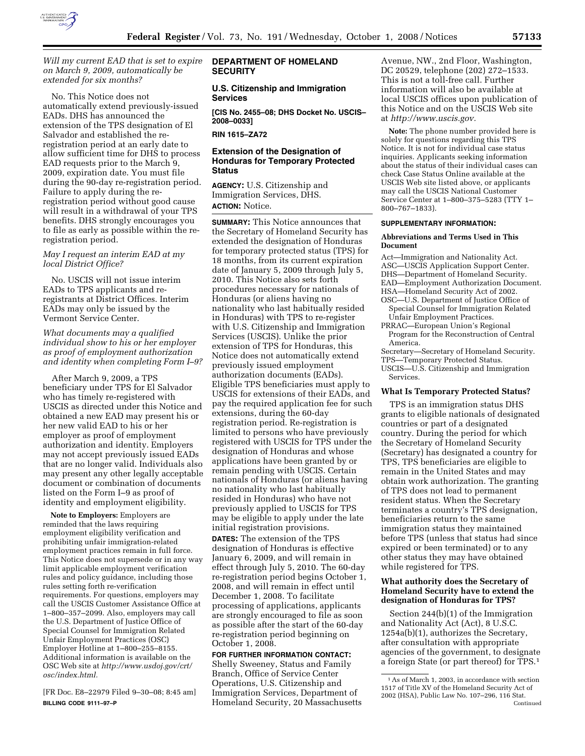

## *Will my current EAD that is set to expire on March 9, 2009, automatically be extended for six months?*

No. This Notice does not automatically extend previously-issued EADs. DHS has announced the extension of the TPS designation of El Salvador and established the reregistration period at an early date to allow sufficient time for DHS to process EAD requests prior to the March 9, 2009, expiration date. You must file during the 90-day re-registration period. Failure to apply during the reregistration period without good cause will result in a withdrawal of your TPS benefits. DHS strongly encourages you to file as early as possible within the reregistration period.

#### *May I request an interim EAD at my local District Office?*

No. USCIS will not issue interim EADs to TPS applicants and reregistrants at District Offices. Interim EADs may only be issued by the Vermont Service Center.

*What documents may a qualified individual show to his or her employer as proof of employment authorization and identity when completing Form I–9?* 

After March 9, 2009, a TPS beneficiary under TPS for El Salvador who has timely re-registered with USCIS as directed under this Notice and obtained a new EAD may present his or her new valid EAD to his or her employer as proof of employment authorization and identity. Employers may not accept previously issued EADs that are no longer valid. Individuals also may present any other legally acceptable document or combination of documents listed on the Form I–9 as proof of identity and employment eligibility.

**Note to Employers:** Employers are reminded that the laws requiring employment eligibility verification and prohibiting unfair immigration-related employment practices remain in full force. This Notice does not supersede or in any way limit applicable employment verification rules and policy guidance, including those rules setting forth re-verification requirements. For questions, employers may call the USCIS Customer Assistance Office at 1–800–357–2099. Also, employers may call the U.S. Department of Justice Office of Special Counsel for Immigration Related Unfair Employment Practices (OSC) Employer Hotline at 1–800–255–8155. Additional information is available on the OSC Web site at *http://www.usdoj.gov/crt/ osc/index.html.* 

[FR Doc. E8–22979 Filed 9–30–08; 8:45 am] **BILLING CODE 9111–97–P** 

#### **DEPARTMENT OF HOMELAND SECURITY**

#### **U.S. Citizenship and Immigration Services**

**[CIS No. 2455–08; DHS Docket No. USCIS– 2008–0033]** 

**RIN 1615–ZA72** 

## **Extension of the Designation of Honduras for Temporary Protected Status**

**AGENCY:** U.S. Citizenship and Immigration Services, DHS. **ACTION:** Notice.

**SUMMARY:** This Notice announces that the Secretary of Homeland Security has extended the designation of Honduras for temporary protected status (TPS) for 18 months, from its current expiration date of January 5, 2009 through July 5, 2010. This Notice also sets forth procedures necessary for nationals of Honduras (or aliens having no nationality who last habitually resided in Honduras) with TPS to re-register with U.S. Citizenship and Immigration Services (USCIS). Unlike the prior extension of TPS for Honduras, this Notice does not automatically extend previously issued employment authorization documents (EADs). Eligible TPS beneficiaries must apply to USCIS for extensions of their EADs, and pay the required application fee for such extensions, during the 60-day registration period. Re-registration is limited to persons who have previously registered with USCIS for TPS under the designation of Honduras and whose applications have been granted by or remain pending with USCIS. Certain nationals of Honduras (or aliens having no nationality who last habitually resided in Honduras) who have not previously applied to USCIS for TPS may be eligible to apply under the late initial registration provisions.

**DATES:** The extension of the TPS designation of Honduras is effective January 6, 2009, and will remain in effect through July 5, 2010. The 60-day re-registration period begins October 1, 2008, and will remain in effect until December 1, 2008. To facilitate processing of applications, applicants are strongly encouraged to file as soon as possible after the start of the 60-day re-registration period beginning on October 1, 2008.

**FOR FURTHER INFORMATION CONTACT:**  Shelly Sweeney, Status and Family Branch, Office of Service Center Operations, U.S. Citizenship and Immigration Services, Department of Homeland Security, 20 Massachusetts

Avenue, NW., 2nd Floor, Washington, DC 20529, telephone (202) 272–1533. This is not a toll-free call. Further information will also be available at local USCIS offices upon publication of this Notice and on the USCIS Web site at *http://www.uscis.gov.* 

**Note:** The phone number provided here is solely for questions regarding this TPS Notice. It is not for individual case status inquiries. Applicants seeking information about the status of their individual cases can check Case Status Online available at the USCIS Web site listed above, or applicants may call the USCIS National Customer Service Center at 1–800–375–5283 (TTY 1– 800–767–1833).

#### **SUPPLEMENTARY INFORMATION:**

#### **Abbreviations and Terms Used in This Document**

Act—Immigration and Nationality Act. ASC—USCIS Application Support Center. DHS—Department of Homeland Security. EAD—Employment Authorization Document. HSA—Homeland Security Act of 2002. OSC—U.S. Department of Justice Office of

- Special Counsel for Immigration Related Unfair Employment Practices.
- PRRAC—European Union's Regional Program for the Reconstruction of Central America.

Secretary—Secretary of Homeland Security. TPS—Temporary Protected Status.

USCIS—U.S. Citizenship and Immigration Services.

#### **What Is Temporary Protected Status?**

TPS is an immigration status DHS grants to eligible nationals of designated countries or part of a designated country. During the period for which the Secretary of Homeland Security (Secretary) has designated a country for TPS, TPS beneficiaries are eligible to remain in the United States and may obtain work authorization. The granting of TPS does not lead to permanent resident status. When the Secretary terminates a country's TPS designation, beneficiaries return to the same immigration status they maintained before TPS (unless that status had since expired or been terminated) or to any other status they may have obtained while registered for TPS.

#### **What authority does the Secretary of Homeland Security have to extend the designation of Honduras for TPS?**

Section 244(b)(1) of the Immigration and Nationality Act (Act), 8 U.S.C. 1254a(b)(1), authorizes the Secretary, after consultation with appropriate agencies of the government, to designate a foreign State (or part thereof) for TPS.1

<sup>1</sup>As of March 1, 2003, in accordance with section 1517 of Title XV of the Homeland Security Act of 2002 (HSA), Public Law No. 107–296, 116 Stat. Continued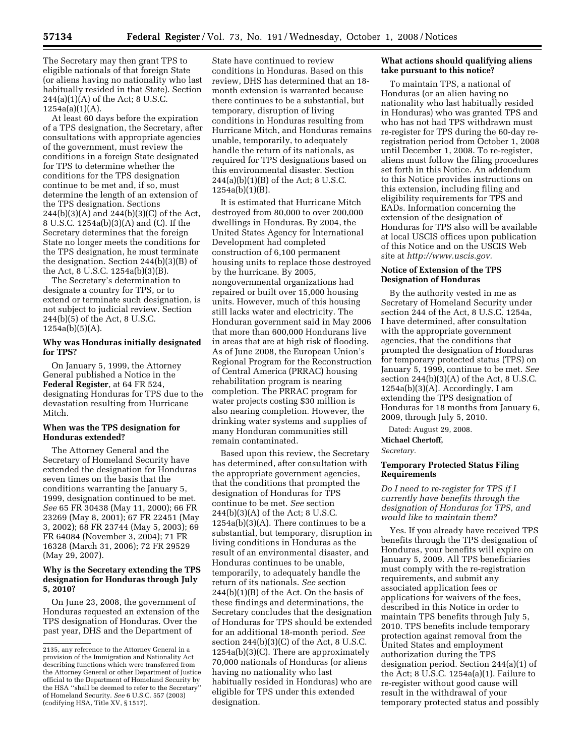The Secretary may then grant TPS to eligible nationals of that foreign State (or aliens having no nationality who last habitually resided in that State). Section 244(a)(1)(A) of the Act; 8 U.S.C.  $1254a(a)(1)(A)$ .

At least 60 days before the expiration of a TPS designation, the Secretary, after consultations with appropriate agencies of the government, must review the conditions in a foreign State designated for TPS to determine whether the conditions for the TPS designation continue to be met and, if so, must determine the length of an extension of the TPS designation. Sections 244(b)(3)(A) and 244(b)(3)(C) of the Act, 8 U.S.C. 1254a(b)(3)(A) and (C). If the Secretary determines that the foreign State no longer meets the conditions for the TPS designation, he must terminate the designation. Section 244(b)(3)(B) of the Act, 8 U.S.C. 1254a(b)(3)(B).

The Secretary's determination to designate a country for TPS, or to extend or terminate such designation, is not subject to judicial review. Section 244(b)(5) of the Act, 8 U.S.C.  $1254a(b)(5)(A).$ 

#### **Why was Honduras initially designated for TPS?**

On January 5, 1999, the Attorney General published a Notice in the **Federal Register**, at 64 FR 524, designating Honduras for TPS due to the devastation resulting from Hurricane Mitch.

### **When was the TPS designation for Honduras extended?**

The Attorney General and the Secretary of Homeland Security have extended the designation for Honduras seven times on the basis that the conditions warranting the January 5, 1999, designation continued to be met. *See* 65 FR 30438 (May 11, 2000); 66 FR 23269 (May 8, 2001); 67 FR 22451 (May 3, 2002); 68 FR 23744 (May 5, 2003); 69 FR 64084 (November 3, 2004); 71 FR 16328 (March 31, 2006); 72 FR 29529 (May 29, 2007).

### **Why is the Secretary extending the TPS designation for Honduras through July 5, 2010?**

On June 23, 2008, the government of Honduras requested an extension of the TPS designation of Honduras. Over the past year, DHS and the Department of

State have continued to review conditions in Honduras. Based on this review, DHS has determined that an 18 month extension is warranted because there continues to be a substantial, but temporary, disruption of living conditions in Honduras resulting from Hurricane Mitch, and Honduras remains unable, temporarily, to adequately handle the return of its nationals, as required for TPS designations based on this environmental disaster. Section 244(a)(b)(1)(B) of the Act; 8 U.S.C. 1254a(b)(1)(B).

It is estimated that Hurricane Mitch destroyed from 80,000 to over 200,000 dwellings in Honduras. By 2004, the United States Agency for International Development had completed construction of 6,100 permanent housing units to replace those destroyed by the hurricane. By 2005, nongovernmental organizations had repaired or built over 15,000 housing units. However, much of this housing still lacks water and electricity. The Honduran government said in May 2006 that more than 600,000 Hondurans live in areas that are at high risk of flooding. As of June 2008, the European Union's Regional Program for the Reconstruction of Central America (PRRAC) housing rehabilitation program is nearing completion. The PRRAC program for water projects costing \$30 million is also nearing completion. However, the drinking water systems and supplies of many Honduran communities still remain contaminated.

Based upon this review, the Secretary has determined, after consultation with the appropriate government agencies, that the conditions that prompted the designation of Honduras for TPS continue to be met. *See* section 244(b)(3)(A) of the Act; 8 U.S.C.  $1254a(b)(3)(A)$ . There continues to be a substantial, but temporary, disruption in living conditions in Honduras as the result of an environmental disaster, and Honduras continues to be unable, temporarily, to adequately handle the return of its nationals. *See* section  $244(b)(1)(B)$  of the Act. On the basis of these findings and determinations, the Secretary concludes that the designation of Honduras for TPS should be extended for an additional 18-month period. *See*  section  $244(b)(3)(C)$  of the Act, 8 U.S.C. 1254a(b)(3)(C). There are approximately 70,000 nationals of Honduras (or aliens having no nationality who last habitually resided in Honduras) who are eligible for TPS under this extended designation.

### **What actions should qualifying aliens take pursuant to this notice?**

To maintain TPS, a national of Honduras (or an alien having no nationality who last habitually resided in Honduras) who was granted TPS and who has not had TPS withdrawn must re-register for TPS during the 60-day reregistration period from October 1, 2008 until December 1, 2008. To re-register, aliens must follow the filing procedures set forth in this Notice. An addendum to this Notice provides instructions on this extension, including filing and eligibility requirements for TPS and EADs. Information concerning the extension of the designation of Honduras for TPS also will be available at local USCIS offices upon publication of this Notice and on the USCIS Web site at *http://www.uscis.gov.* 

### **Notice of Extension of the TPS Designation of Honduras**

By the authority vested in me as Secretary of Homeland Security under section 244 of the Act, 8 U.S.C. 1254a, I have determined, after consultation with the appropriate government agencies, that the conditions that prompted the designation of Honduras for temporary protected status (TPS) on January 5, 1999, continue to be met. *See*  section  $244(b)(3)(A)$  of the Act, 8 U.S.C. 1254a(b)(3)(A). Accordingly, I am extending the TPS designation of Honduras for 18 months from January 6, 2009, through July 5, 2010.

Dated: August 29, 2008.

**Michael Chertoff,** 

*Secretary.* 

#### **Temporary Protected Status Filing Requirements**

*Do I need to re-register for TPS if I currently have benefits through the designation of Honduras for TPS, and would like to maintain them?* 

Yes. If you already have received TPS benefits through the TPS designation of Honduras, your benefits will expire on January 5, 2009. All TPS beneficiaries must comply with the re-registration requirements, and submit any associated application fees or applications for waivers of the fees, described in this Notice in order to maintain TPS benefits through July 5, 2010. TPS benefits include temporary protection against removal from the United States and employment authorization during the TPS designation period. Section 244(a)(1) of the Act; 8 U.S.C. 1254a(a)(1). Failure to re-register without good cause will result in the withdrawal of your temporary protected status and possibly

<sup>2135,</sup> any reference to the Attorney General in a provision of the Immigration and Nationality Act describing functions which were transferred from the Attorney General or other Department of Justice official to the Department of Homeland Security by the HSA ''shall be deemed to refer to the Secretary'' of Homeland Security. *See* 6 U.S.C. 557 (2003) (codifying HSA, Title XV, § 1517).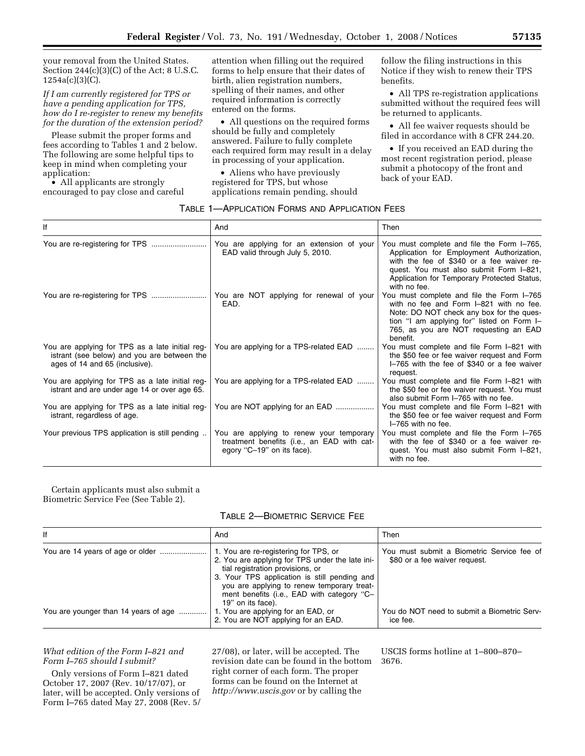your removal from the United States. Section  $244(c)(3)(C)$  of the Act; 8 U.S.C.  $1254a(c)(3)(C)$ .

*If I am currently registered for TPS or have a pending application for TPS, how do I re-register to renew my benefits for the duration of the extension period?* 

Please submit the proper forms and fees according to Tables 1 and 2 below. The following are some helpful tips to keep in mind when completing your application:

• All applicants are strongly encouraged to pay close and careful attention when filling out the required forms to help ensure that their dates of birth, alien registration numbers, spelling of their names, and other required information is correctly entered on the forms.

• All questions on the required forms should be fully and completely answered. Failure to fully complete each required form may result in a delay in processing of your application.

• Aliens who have previously registered for TPS, but whose applications remain pending, should

follow the filing instructions in this Notice if they wish to renew their TPS benefits.

• All TPS re-registration applications submitted without the required fees will be returned to applicants.

• All fee waiver requests should be filed in accordance with 8 CFR 244.20.

• If you received an EAD during the most recent registration period, please submit a photocopy of the front and back of your EAD.

#### TABLE 1—APPLICATION FORMS AND APPLICATION FEES

| lf                                                                                                                               | And                                                                                                                  | Then                                                                                                                                                                                                                                           |
|----------------------------------------------------------------------------------------------------------------------------------|----------------------------------------------------------------------------------------------------------------------|------------------------------------------------------------------------------------------------------------------------------------------------------------------------------------------------------------------------------------------------|
| You are re-registering for TPS                                                                                                   | You are applying for an extension of your<br>EAD valid through July 5, 2010.                                         | You must complete and file the Form I-765,<br>Application for Employment Authorization,<br>with the fee of \$340 or a fee waiver re-<br>quest. You must also submit Form I-821,<br>Application for Temporary Protected Status,<br>with no fee. |
|                                                                                                                                  | You are NOT applying for renewal of your<br>EAD.                                                                     | You must complete and file the Form I-765<br>with no fee and Form I-821 with no fee.<br>Note: DO NOT check any box for the ques-<br>tion "I am applying for" listed on Form I-<br>765, as you are NOT requesting an EAD<br>benefit.            |
| You are applying for TPS as a late initial reg-<br>istrant (see below) and you are between the<br>ages of 14 and 65 (inclusive). | You are applying for a TPS-related EAD                                                                               | You must complete and file Form I-821 with<br>the \$50 fee or fee waiver request and Form<br>I-765 with the fee of \$340 or a fee waiver<br>request.                                                                                           |
| You are applying for TPS as a late initial reg-<br>istrant and are under age 14 or over age 65.                                  | You are applying for a TPS-related EAD                                                                               | You must complete and file Form I-821 with<br>the \$50 fee or fee waiver request. You must<br>also submit Form I-765 with no fee.                                                                                                              |
| You are applying for TPS as a late initial reg-<br>istrant, regardless of age.                                                   | You are NOT applying for an EAD                                                                                      | You must complete and file Form I-821 with<br>the \$50 fee or fee waiver request and Form<br>I-765 with no fee.                                                                                                                                |
| Your previous TPS application is still pending                                                                                   | You are applying to renew your temporary<br>treatment benefits (i.e., an EAD with cat-<br>egory "C-19" on its face). | You must complete and file the Form I-765<br>with the fee of \$340 or a fee waiver re-<br>quest. You must also submit Form I-821,<br>with no fee.                                                                                              |

Certain applicants must also submit a Biometric Service Fee (See Table 2).

## TABLE 2—BIOMETRIC SERVICE FEE

| lf                                   | And                                                                                                                                                                                                                                                                                           | Then                                                                        |
|--------------------------------------|-----------------------------------------------------------------------------------------------------------------------------------------------------------------------------------------------------------------------------------------------------------------------------------------------|-----------------------------------------------------------------------------|
|                                      | 1. You are re-registering for TPS, or<br>2. You are applying for TPS under the late ini-<br>tial registration provisions, or<br>3. Your TPS application is still pending and<br>you are applying to renew temporary treat-<br>ment benefits (i.e., EAD with category "C-<br>19" on its face). | You must submit a Biometric Service fee of<br>\$80 or a fee waiver request. |
| You are younger than 14 years of age | 1. You are applying for an EAD, or<br>2. You are NOT applying for an EAD.                                                                                                                                                                                                                     | You do NOT need to submit a Biometric Serv-<br>ice fee.                     |

#### *What edition of the Form I–821 and Form I–765 should I submit?*

Only versions of Form I–821 dated October 17, 2007 (Rev. 10/17/07), or later, will be accepted. Only versions of Form I–765 dated May 27, 2008 (Rev. 5/

27/08), or later, will be accepted. The revision date can be found in the bottom right corner of each form. The proper forms can be found on the Internet at *http://www.uscis.gov* or by calling the

USCIS forms hotline at 1–800–870– 3676.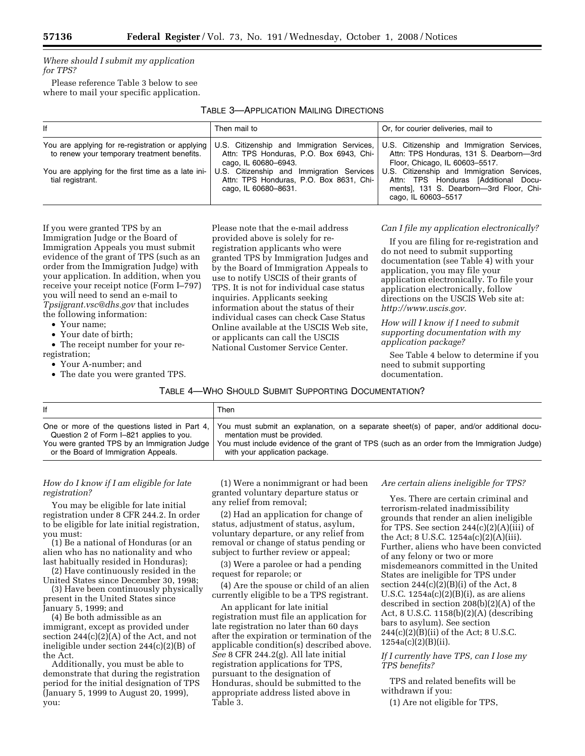# *Where should I submit my application for TPS?*

Please reference Table 3 below to see where to mail your specific application.

TABLE 3—APPLICATION MAILING DIRECTIONS

| lf                                                                                              | Then mail to                                                                                                  | Or, for courier deliveries, mail to                                                                                                                  |
|-------------------------------------------------------------------------------------------------|---------------------------------------------------------------------------------------------------------------|------------------------------------------------------------------------------------------------------------------------------------------------------|
| You are applying for re-registration or applying<br>to renew your temporary treatment benefits. | U.S. Citizenship and Immigration Services,<br>Attn: TPS Honduras, P.O. Box 6943, Chi-<br>cago, IL 60680-6943. | U.S. Citizenship and Immigration Services,<br>Attn: TPS Honduras, 131 S. Dearborn-3rd<br>Floor, Chicago, IL 60603-5517.                              |
| You are applying for the first time as a late ini-<br>tial registrant.                          | U.S. Citizenship and Immigration Services<br>Attn: TPS Honduras, P.O. Box 8631, Chi-<br>cago, IL 60680-8631.  | U.S. Citizenship and Immigration Services,<br>Attn: TPS Honduras [Additional Docu-<br>ments], 131 S. Dearborn-3rd Floor, Chi-<br>cago, IL 60603-5517 |

If you were granted TPS by an Immigration Judge or the Board of Immigration Appeals you must submit evidence of the grant of TPS (such as an order from the Immigration Judge) with your application. In addition, when you receive your receipt notice (Form I–797) you will need to send an e-mail to *Tpsijgrant.vsc@dhs.gov* that includes the following information:

- Your name;
- Your date of birth;

• The receipt number for your reregistration;

• Your A-number; and

• The date you were granted TPS.

Please note that the e-mail address provided above is solely for reregistration applicants who were granted TPS by Immigration Judges and by the Board of Immigration Appeals to use to notify USCIS of their grants of TPS. It is not for individual case status inquiries. Applicants seeking information about the status of their individual cases can check Case Status Online available at the USCIS Web site, or applicants can call the USCIS National Customer Service Center.

#### *Can I file my application electronically?*

If you are filing for re-registration and do not need to submit supporting documentation (see Table 4) with your application, you may file your application electronically. To file your application electronically, follow directions on the USCIS Web site at: *http://www.uscis.gov.* 

*How will I know if I need to submit supporting documentation with my application package?* 

See Table 4 below to determine if you need to submit supporting documentation.

|  | TABLE 4—WHO SHOULD SUBMIT SUPPORTING DOCUMENTATION? |
|--|-----------------------------------------------------|
|--|-----------------------------------------------------|

| lf                                             | Then                                                                                        |
|------------------------------------------------|---------------------------------------------------------------------------------------------|
| One or more of the questions listed in Part 4, | You must submit an explanation, on a separate sheet(s) of paper, and/or additional docu-    |
| Question 2 of Form I-821 applies to you.       | mentation must be provided.                                                                 |
| You were granted TPS by an Immigration Judge   | You must include evidence of the grant of TPS (such as an order from the Immigration Judge) |
| or the Board of Immigration Appeals.           | with your application package.                                                              |

#### *How do I know if I am eligible for late registration?*

You may be eligible for late initial registration under 8 CFR 244.2. In order to be eligible for late initial registration, you must:

(1) Be a national of Honduras (or an alien who has no nationality and who last habitually resided in Honduras);

(2) Have continuously resided in the United States since December 30, 1998;

(3) Have been continuously physically present in the United States since January 5, 1999; and

(4) Be both admissible as an immigrant, except as provided under section 244(c)(2)(A) of the Act, and not ineligible under section 244(c)(2)(B) of the Act.

Additionally, you must be able to demonstrate that during the registration period for the initial designation of TPS (January 5, 1999 to August 20, 1999), you:

(1) Were a nonimmigrant or had been granted voluntary departure status or any relief from removal;

(2) Had an application for change of status, adjustment of status, asylum, voluntary departure, or any relief from removal or change of status pending or subject to further review or appeal;

(3) Were a parolee or had a pending request for reparole; or

(4) Are the spouse or child of an alien currently eligible to be a TPS registrant.

An applicant for late initial registration must file an application for late registration no later than 60 days after the expiration or termination of the applicable condition(s) described above. *See* 8 CFR 244.2(g). All late initial registration applications for TPS, pursuant to the designation of Honduras, should be submitted to the appropriate address listed above in Table 3.

*Are certain aliens ineligible for TPS?* 

Yes. There are certain criminal and terrorism-related inadmissibility grounds that render an alien ineligible for TPS. See section  $244(c)(2)(A)(iii)$  of the Act; 8 U.S.C. 1254a(c)(2)(A)(iii). Further, aliens who have been convicted of any felony or two or more misdemeanors committed in the United States are ineligible for TPS under section  $244(c)(2)(B)(i)$  of the Act, 8 U.S.C.  $1254a(c)(2)(B)(i)$ , as are aliens described in section 208(b)(2)(A) of the Act, 8 U.S.C. 1158(b)(2)(A) (describing bars to asylum). See section  $244(c)(2)(B)(ii)$  of the Act; 8 U.S.C.  $1254a(c)(2)(B)(ii).$ 

*If I currently have TPS, can I lose my TPS benefits?* 

TPS and related benefits will be withdrawn if you:

(1) Are not eligible for TPS,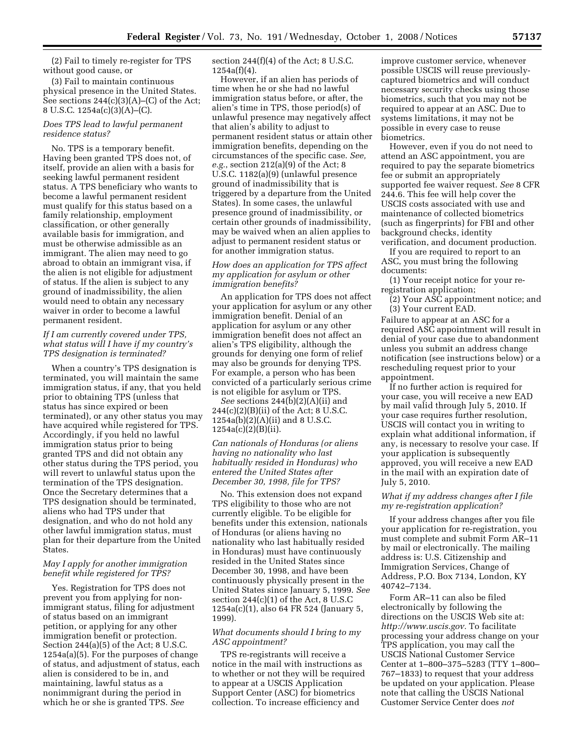(2) Fail to timely re-register for TPS without good cause, or

(3) Fail to maintain continuous physical presence in the United States. See sections  $244(c)(3)(A)$ –(C) of the Act; 8 U.S.C. 1254a(c)(3)(A)–(C).

### *Does TPS lead to lawful permanent residence status?*

No. TPS is a temporary benefit. Having been granted TPS does not, of itself, provide an alien with a basis for seeking lawful permanent resident status. A TPS beneficiary who wants to become a lawful permanent resident must qualify for this status based on a family relationship, employment classification, or other generally available basis for immigration, and must be otherwise admissible as an immigrant. The alien may need to go abroad to obtain an immigrant visa, if the alien is not eligible for adjustment of status. If the alien is subject to any ground of inadmissibility, the alien would need to obtain any necessary waiver in order to become a lawful permanent resident.

#### *If I am currently covered under TPS, what status will I have if my country's TPS designation is terminated?*

When a country's TPS designation is terminated, you will maintain the same immigration status, if any, that you held prior to obtaining TPS (unless that status has since expired or been terminated), or any other status you may have acquired while registered for TPS. Accordingly, if you held no lawful immigration status prior to being granted TPS and did not obtain any other status during the TPS period, you will revert to unlawful status upon the termination of the TPS designation. Once the Secretary determines that a TPS designation should be terminated, aliens who had TPS under that designation, and who do not hold any other lawful immigration status, must plan for their departure from the United States.

#### *May I apply for another immigration benefit while registered for TPS?*

Yes. Registration for TPS does not prevent you from applying for nonimmigrant status, filing for adjustment of status based on an immigrant petition, or applying for any other immigration benefit or protection. Section 244(a)(5) of the Act; 8 U.S.C. 1254a(a)(5). For the purposes of change of status, and adjustment of status, each alien is considered to be in, and maintaining, lawful status as a nonimmigrant during the period in which he or she is granted TPS. *See* 

section  $244(f)(4)$  of the Act; 8 U.S.C. 1254a(f)(4).

However, if an alien has periods of time when he or she had no lawful immigration status before, or after, the alien's time in TPS, those period(s) of unlawful presence may negatively affect that alien's ability to adjust to permanent resident status or attain other immigration benefits, depending on the circumstances of the specific case. *See, e.g.*, section 212(a)(9) of the Act; 8 U.S.C. 1182(a)(9) (unlawful presence ground of inadmissibility that is triggered by a departure from the United States). In some cases, the unlawful presence ground of inadmissibility, or certain other grounds of inadmissibility, may be waived when an alien applies to adjust to permanent resident status or for another immigration status.

## *How does an application for TPS affect my application for asylum or other immigration benefits?*

An application for TPS does not affect your application for asylum or any other immigration benefit. Denial of an application for asylum or any other immigration benefit does not affect an alien's TPS eligibility, although the grounds for denying one form of relief may also be grounds for denying TPS. For example, a person who has been convicted of a particularly serious crime is not eligible for asylum or TPS.

*See* sections 244(b)(2)(A)(ii) and 244(c)(2)(B)(ii) of the Act; 8 U.S.C. 1254a(b)(2)(A)(ii) and 8 U.S.C. 1254a(c)(2)(B)(ii).

*Can nationals of Honduras (or aliens having no nationality who last habitually resided in Honduras) who entered the United States after December 30, 1998, file for TPS?* 

No. This extension does not expand TPS eligibility to those who are not currently eligible. To be eligible for benefits under this extension, nationals of Honduras (or aliens having no nationality who last habitually resided in Honduras) must have continuously resided in the United States since December 30, 1998, and have been continuously physically present in the United States since January 5, 1999. *See*  section  $244(c)(1)$  of the Act, 8 U.S.C 1254a(c)(1), also 64 FR 524 (January 5, 1999).

#### *What documents should I bring to my ASC appointment?*

TPS re-registrants will receive a notice in the mail with instructions as to whether or not they will be required to appear at a USCIS Application Support Center (ASC) for biometrics collection. To increase efficiency and

improve customer service, whenever possible USCIS will reuse previouslycaptured biometrics and will conduct necessary security checks using those biometrics, such that you may not be required to appear at an ASC. Due to systems limitations, it may not be possible in every case to reuse biometrics.

However, even if you do not need to attend an ASC appointment, you are required to pay the separate biometrics fee or submit an appropriately supported fee waiver request. *See* 8 CFR 244.6. This fee will help cover the USCIS costs associated with use and maintenance of collected biometrics (such as fingerprints) for FBI and other background checks, identity verification, and document production.

If you are required to report to an ASC, you must bring the following documents:

(1) Your receipt notice for your reregistration application;

(2) Your ASC appointment notice; and (3) Your current EAD.

Failure to appear at an ASC for a required ASC appointment will result in denial of your case due to abandonment unless you submit an address change notification (see instructions below) or a rescheduling request prior to your appointment.

If no further action is required for your case, you will receive a new EAD by mail valid through July 5, 2010. If your case requires further resolution, USCIS will contact you in writing to explain what additional information, if any, is necessary to resolve your case. If your application is subsequently approved, you will receive a new EAD in the mail with an expiration date of July 5, 2010.

#### *What if my address changes after I file my re-registration application?*

If your address changes after you file your application for re-registration, you must complete and submit Form AR–11 by mail or electronically. The mailing address is: U.S. Citizenship and Immigration Services, Change of Address, P.O. Box 7134, London, KY 40742–7134.

Form AR–11 can also be filed electronically by following the directions on the USCIS Web site at: *http://www.uscis.gov.* To facilitate processing your address change on your TPS application, you may call the USCIS National Customer Service Center at 1–800–375–5283 (TTY 1–800– 767–1833) to request that your address be updated on your application. Please note that calling the USCIS National Customer Service Center does *not*